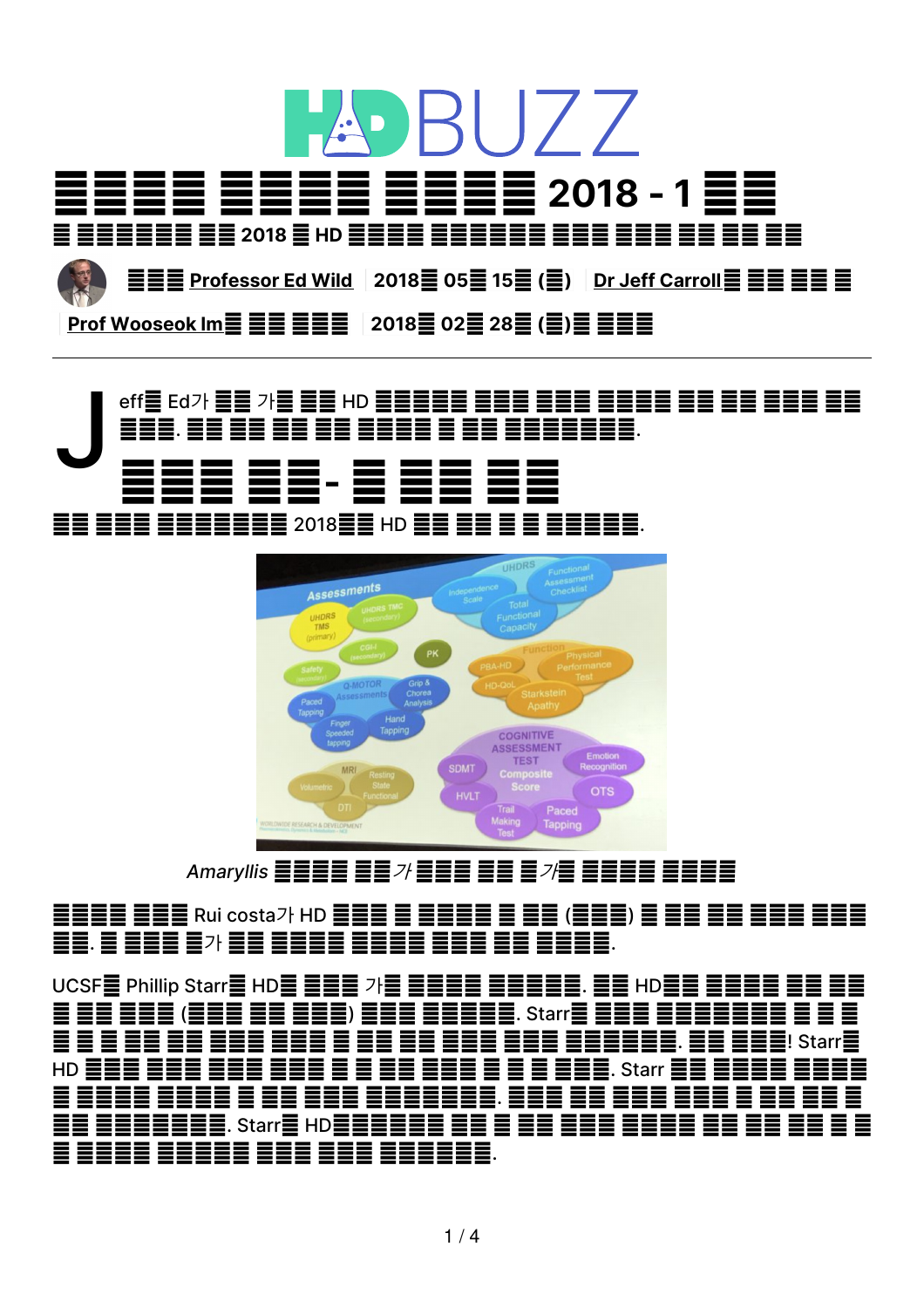





*Amaryllis* 로드드를 모르*가* 드르트 드로 드기를 드르트를 드르트드

### **RUBLE AND ASSESSED AS A REPORT OF A REPORT OF A REPORT OF A REPORT OF A REPORT OF A REPORT OF A REPORT OF A REPORT OF A REPORT OF A REPORT OF A REPORT OF A REPORT OF A REPORT OF A REPORT OF A REPORT OF A REPORT OF A REPO**  $\overline{a}$  is a graph by an analysis of

 $UCSF$  Phillip Starr HD = 모든드 가드 드드드드 프로프트 프로그램, 프로 HD 프로 ( ) . Starr . ! Starr HD . Starr <u>E BESE ESSE E SE SES ESSESEBB: ESS ES ESS ESS E SE SE E .</u>  $\blacksquare$ . Starr $\boldsymbol{\Xi}$  HD .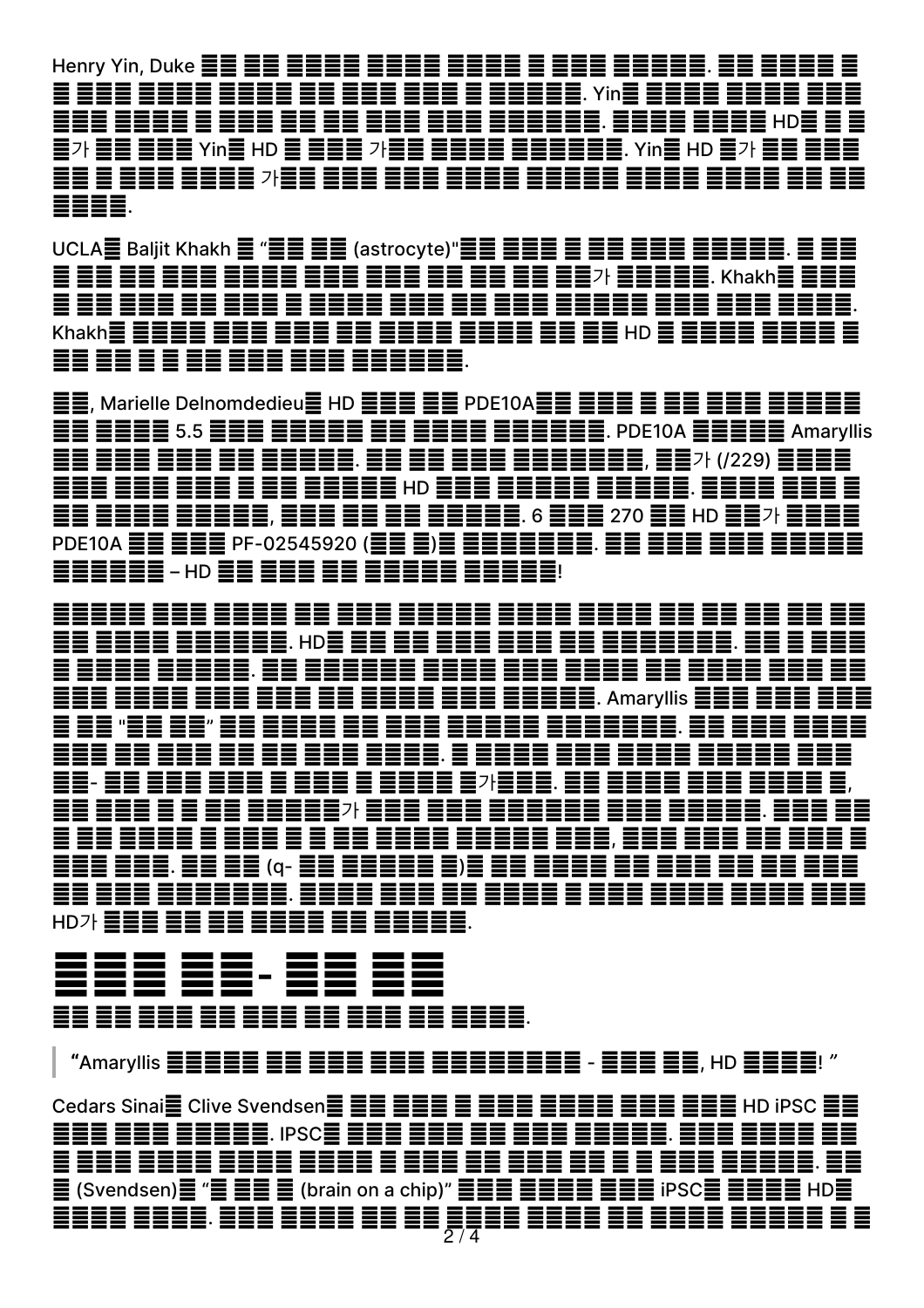Henry Yin, Duke **king the sensor and the sensor and sensor and the sensor and sensor and sensor and sensor and s** <u>in and an an and a go and a sen and a senderned and</u> and an another sensor and a **res esse e ess de se ses ess essess. Esse esse** ho**s e s** 로가 로드 프로드 Yin를 HD 로 프로드 가르트 프로프트 프로프로프트. Yin를 HD 로가 프로 프로프 **물로 줄 물로를 물로들을 가르르 물로를 물로를 물로들을 물로들들을 물로들을 물로들을 물로 물로** <u> ====</u>.

UCLA를 Baljit Khakh 를 "블로 블로 (astrocyte)" 블로 블로드 블로 블로드 블로드트로. 를 블로 **그 모든 모든 모든 모든 모든 모든 모든 모든 모든 모든 모든 모든 모든**가 모든드드든. Khakh**를 모든**들 . Khakh**e eeee eee eee ee eeee eeee ee ee** ho **e eeee eeee e** <u> ES SE S ES SES SES SESESE.</u>

EE, Marielle Delnomdedieu를 HD 블로크 트롤 PDE10A플로 트로크 트로프 트로프트프트  $E$  is the same  $5.5$  in the set  $E$  is the set  $E$  is the set  $E$  amarge  $E$  amaryllis **EE BEE BEE BE BEEEE. EE BE BEE BEEEEEE, BE**ZH (/229) **BEEE** EEE EEE EEE E EE EEEEE HD EEE EEEEE EEEEE. EEEE EEE E  $\Xi$  , and  $\Xi$  , and  $\Xi$  is the set  $\Xi$  , and  $\Xi$  is a set  $\Xi$  , and  $\Xi$  is a set  $\Xi$  is a set  $\Xi$  is a set  $\Xi$  is a set  $\Xi$  is a set  $\Xi$  is a set  $\Xi$  is a set  $\Xi$  is a set  $\Xi$  is a set  $\Xi$  is a set  $\Xi$  is PDE10A 로드 프로드 PF-02545920 (프로 드)를 프로프트프트로, 프로 프로드 프로드 프로프트프트  $\Xi$  bases  $-$  HD as a base as a bases as a base.

 **ENNISE DE LE UN DUN DUN DU DUNISEE. EN DUNE** <u>s sess sesse. Ee eesses eess ees eess ee eess ees ee</u> . 2000 Anarylis 2000 Android Supering Engineer 2000 Anarylis 2000 2000 2000 Angles <u>'s ee 'ee ee' ee eeen ee een eeene eeneene. Ee een eene</u> . - 로드 트로드 프로드 드 프로드 드 프로프트 트가르트드. 프로 **TH REE & R RE REEERY REE REE REEERE REE REEER. REE RE**  , **REE REE, RE RE (q- RE REERE B) E RE REER RE REE RE RE REE** <u>BE EEE EEEEEEE. EEEE EEE EE EEEE E EEE EEEE EEEE EEE</u> HD가 **물들을 물을 물을 물들들을 물을 물들물들을**.

# **-** <u>nu od nos od nos od no na sene.</u>

**"**Amaryllis - , HD ! *"*

Cedars Sinai를 Clive Svendsen를 물들 물들들 물 물들들 물물들을 물들을 물들을 HD iPSC 물들 EEE EEE EEEEE. IPSCE EEE EEE EE EEE EEEEEE. EEE EEEE EE <u>s ses sess sess sess s ses se ses se s e ses s</u>  $\Xi$  (Svendsen)를 "로 르르 를 (brain on a chip)" 르르르 르르르르 르르르 iPSC를 르르르르 HD를 . 2 / 4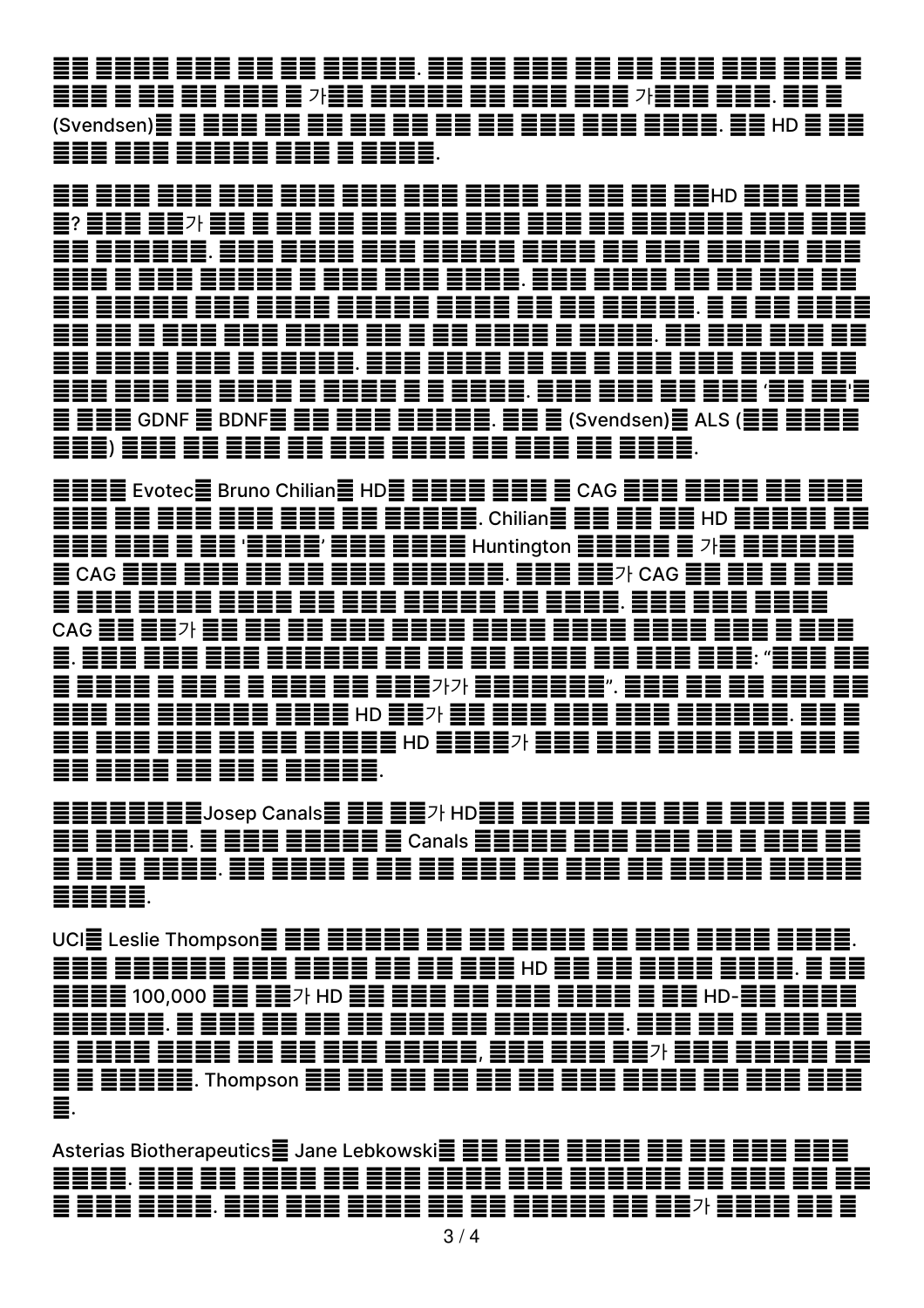. **HEE E BE EE EEE E**  $n$ **EE EEEEE EE EEE EEE**  $n$ **EEE EEE. EE E**  $(Svendsen)$  is the set of  $B$  and  $B$  and  $B$  and  $B$  and  $B$  is a set of  $B$  and  $B$  and  $B$  and  $B$  and  $B$  and  $B$  and  $B$  and  $B$  and  $B$  are  $B$  and  $B$  and  $B$  are  $B$  and  $B$  are  $B$  and  $B$  are  $B$  and  $B$  are  $B$  and <u> Ene ene enere ene e ener.</u>

 HD ? 가 <u>nu sesees. See eese ees eenee eene ee een eenee een</u> <u>nan a nan annsa a nan ann anns. Ann anns an an ann:</u> <u> 20000 000 0000 00000 0000 00 00000 00000 00</u> <u>nd de e end den ende de e de ende e ende. En end den en</u> <u> ES ESES SES E SESES. ESS SESS SE ES E ESS SES ESES SE</u> . ' ' GDNF BDNF . (Svendsen) ALS ( <u> 200</u>) 200 20 200 20 200 2000 20 200 20 2000.

 Evotec Bruno Chilian HD CAG EEE EE EEE EEE EEE EE EEEEE. Chilian EE EE EE HD EEEEE EE  $E = E$  , and  $E = E$  and  $E = E$  and  $E = E$  and  $E = E$  and  $E = E$  and  $E = E$  and  $E = E$  and  $E = E$  and  $E = E$  and  $E = E$  and  $E = E$  and  $E = E$  and  $E = E$  and  $E = E$  and  $E = E$  and  $E = E$  and  $E = E$  and  $E = E$  and  $E = E$  and  $E = E$  and  $E = E$  and  $\Xi$  [CAG](https://ko.hdbuzz.net/#) **ends when the set of the set of the set of the set of the set of the set of the set of the set of the set of the set of the set of the set of the set of the set of the set of the set of the set of the set of the** <u> e een eens eens ee een eenne ee eens. Een een eens</u> [CAG](https://ko.hdbuzz.net/#) 로드 프로가 크로 프로 프로 프로드 프로프트 프로프트 프로프트 프로프트 프] . : " **로 프로프로 드 프로 드 드 프로드 프로 프로프가가 프로프트프트로'. 프로드 프로 프로 프로드 프로** EEE EE EEEEEE EEEE HO EE가 EE EEE EEE EEE EEEEEE. EE E **트로 프로드 프로드 프로 프로프트로드 HD 프로프트가 프로드 프로드 프로프트 프로드 프로** <u> En enne de se e enede</u>.

 $E = E$   $E = E$  Josep Canals  $E = E$  ,  $E \ge E$  ,  $E = E$  ,  $E = E$  ,  $E = E$  ,  $E = E$  ,  $E = E$  ,  $E = E$  ,  $E = E$  ,  $E = E$  ,  $E = E$  ,  $E = E$  ,  $E = E$  ,  $E = E$  ,  $E = E$  ,  $E = E$  ,  $E = E$  ,  $E = E$  ,  $E = E$  ,  $E = E$  ,  $E = E$  ,  $E = E$  ,  $E = E$  ,  $E = E$  ,  $E =$  $E$  is a set  $E$  and  $E$  and  $E$  is a set  $E$  and  $E$  is a set  $E$  and  $E$  and  $E$  and  $E$  and  $E$  and  $E$  and  $E$  and  $E$  and  $E$  and  $E$  and  $E$  and  $E$  and  $E$  and  $E$  and  $E$  and  $E$  and  $E$  and  $E$  and  $E$  and  $E$  an <u>n de e eseo. Es eseo e se es ese es ese es eseos esese</u> <u> =====</u>

UCIE Leslie Thompson를 물을 물물물물을 물을 물을 물물물을 물을 물물을 물물물을 물물물물. HEE HEEEEE HEE HEEE HE HE HEE HO HE HE HEEE HEEE. E HE  $\Xi$ EEE 100,000 EE EE가 HD EE EEE EE EEE EEE EEE EE HD-EE EEE . . , where the senies of the sense  $\mathbf{r}_i$  and the sense of  $\mathbf{r}_i$  $\Xi$  is eighere. Thompson 22 and 22 and 22 and 22 and 22 and 22 and 22 and 22 and 22 and 22 and 22 and 22 and 22 and 22 and 22 and 22 and 22 and 22 and 22 and 22 and 22 and 22 and 22 and 22 and 22 and 22 and 22 and 22 and 量.

Asterias Biotherapeutics를 Jane Lebkowski를 물들 물들들 물물들물 물들 물들을 물들들 <u> BOBB. BOB DO BOBB DO BOBB DO DO BOBBO DO DO DO DO DO</u> . 가